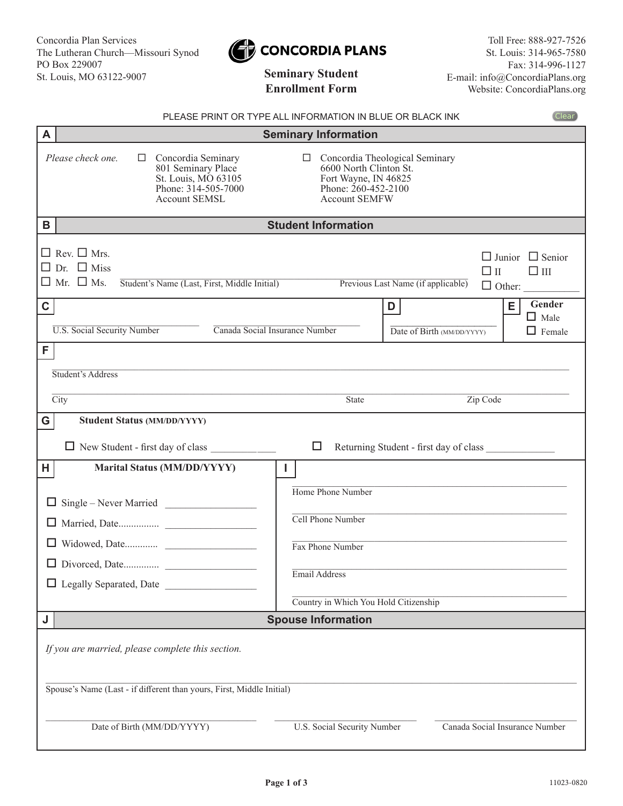

# **Enrollment Form**

Toll Free: 888-927-7526 St. Louis: 314-965-7580 Fax: 314-996-1127 E-mail: info@ConcordiaPlans.org Website: ConcordiaPlans.org

| PLEASE PRINT OR TYPE ALL INFORMATION IN BLUE OR BLACK INK                                                                                     |                                                                                                           |                                                 | <b>Clear</b>                                               |
|-----------------------------------------------------------------------------------------------------------------------------------------------|-----------------------------------------------------------------------------------------------------------|-------------------------------------------------|------------------------------------------------------------|
| A                                                                                                                                             | <b>Seminary Information</b>                                                                               |                                                 |                                                            |
| Please check one.<br>Concordia Seminary<br>$\Box$<br>801 Seminary Place<br>St. Louis, MO 63105<br>Phone: 314-505-7000<br><b>Account SEMSL</b> | $\Box$<br>6600 North Clinton St.<br>Fort Wayne, IN 46825<br>Phone: $260-452-2100$<br><b>Account SEMFW</b> | Concordia Theological Seminary                  |                                                            |
| B                                                                                                                                             | <b>Student Information</b>                                                                                |                                                 |                                                            |
| $\Box$ Rev. $\Box$ Mrs.<br>Dr. $\Box$ Miss<br>$\Box$<br>$\Box$ Mr. $\Box$ Ms.<br>Student's Name (Last, First, Middle Initial)                 |                                                                                                           | $\Box$ II<br>Previous Last Name (if applicable) | $\Box$ Junior $\Box$ Senior<br>$\Box$ III<br>$\Box$ Other: |
| $\mathbf C$                                                                                                                                   |                                                                                                           | D                                               | Gender<br>E.<br>$\Box$ Male                                |
| <b>U.S. Social Security Number</b><br>Canada Social Insurance Number                                                                          |                                                                                                           | Date of Birth (MM/DD/YYYY)                      | $\Box$ Female                                              |
| F.                                                                                                                                            |                                                                                                           |                                                 |                                                            |
| Student's Address                                                                                                                             |                                                                                                           |                                                 |                                                            |
|                                                                                                                                               |                                                                                                           |                                                 |                                                            |
| $\overline{City}$                                                                                                                             | <b>State</b>                                                                                              | Zip Code                                        |                                                            |
| G<br><b>Student Status (MM/DD/YYYY)</b>                                                                                                       |                                                                                                           |                                                 |                                                            |
| $\Box$ New Student - first day of class                                                                                                       | □                                                                                                         | Returning Student - first day of class          |                                                            |
| <b>Marital Status (MM/DD/YYYY)</b><br>H.                                                                                                      | I.                                                                                                        |                                                 |                                                            |
|                                                                                                                                               | Home Phone Number                                                                                         |                                                 |                                                            |
|                                                                                                                                               | Cell Phone Number                                                                                         |                                                 |                                                            |
|                                                                                                                                               | Fax Phone Number                                                                                          |                                                 |                                                            |
| □ Divorced, Date                                                                                                                              |                                                                                                           |                                                 |                                                            |
| $\Box$ Legally Separated, Date $\Box$                                                                                                         | Email Address                                                                                             |                                                 |                                                            |
|                                                                                                                                               | Country in Which You Hold Citizenship                                                                     |                                                 |                                                            |
| J                                                                                                                                             | <b>Spouse Information</b>                                                                                 |                                                 |                                                            |
| If you are married, please complete this section.                                                                                             |                                                                                                           |                                                 |                                                            |
| Spouse's Name (Last - if different than yours, First, Middle Initial)                                                                         |                                                                                                           |                                                 |                                                            |
| Date of Birth (MM/DD/YYYY)                                                                                                                    | U.S. Social Security Number                                                                               |                                                 | Canada Social Insurance Number                             |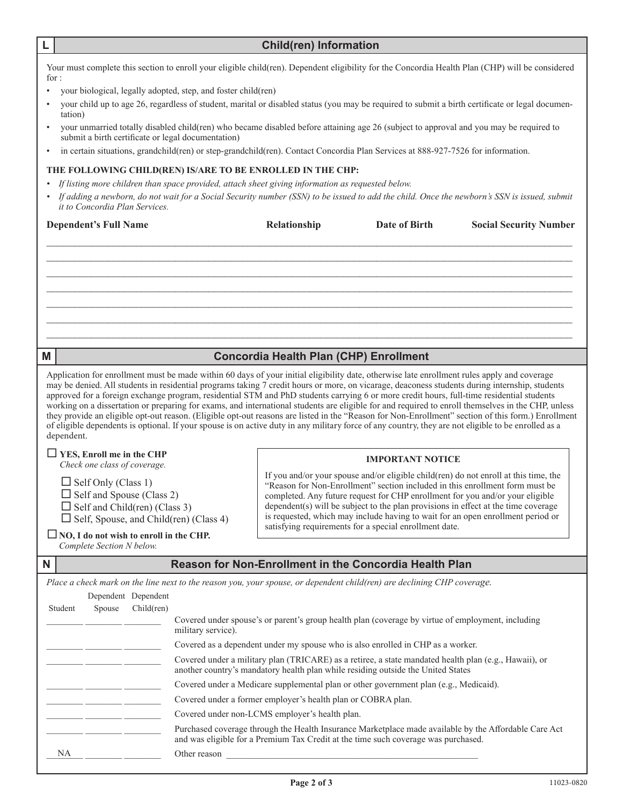| ц. | <b>Child(ren) Information</b> |  |
|----|-------------------------------|--|
|----|-------------------------------|--|

Your must complete this section to enroll your eligible child(ren). Dependent eligibility for the Concordia Health Plan (CHP) will be considered for :

- your biological, legally adopted, step, and foster child(ren)
- your child up to age 26, regardless of student, marital or disabled status (you may be required to submit a birth certificate or legal documentation)
- your unmarried totally disabled child(ren) who became disabled before attaining age 26 (subject to approval and you may be required to submit a birth certificate or legal documentation)
- in certain situations, grandchild(ren) or step-grandchild(ren). Contact Concordia Plan Services at 888-927-7526 for information.

## **THE FOLLOWING CHILD(REN) IS/ARE TO BE ENROLLED IN THE CHP:**

- *• If listing more children than space provided, attach sheet giving information as requested below.*
- *• If adding a newborn, do not wait for a Social Security number (SSN) to be issued to add the child. Once the newborn's SSN is issued, submit it to Concordia Plan Services.*

| <b>Dependent's Full Name</b> | Relationship | Date of Birth | <b>Social Security Number</b> |
|------------------------------|--------------|---------------|-------------------------------|
|                              |              |               |                               |
|                              |              |               |                               |
|                              |              |               |                               |
|                              |              |               |                               |
|                              |              |               |                               |

## **M Concordia Health Plan (CHP) Enrollment**

Application for enrollment must be made within 60 days of your initial eligibility date, otherwise late enrollment rules apply and coverage may be denied. All students in residential programs taking 7 credit hours or more, on vicarage, deaconess students during internship, students approved for a foreign exchange program, residential STM and PhD students carrying 6 or more credit hours, full-time residential students working on a dissertation or preparing for exams, and international students are eligible for and required to enroll themselves in the CHP, unless they provide an eligible opt-out reason. (Eligible opt-out reasons are listed in the "Reason for Non-Enrollment" section of this form.) Enrollment of eligible dependents is optional. If your spouse is on active duty in any military force of any country, they are not eligible to be enrolled as a dependent.

#### **YES, Enroll me in the CHP**  *Check one class of coverage.*

 $\Box$  Self Only (Class 1)  $\Box$  Self and Spouse (Class 2)  $\Box$  Self and Child(ren) (Class 3)  $\Box$  Self, Spouse, and Child(ren) (Class 4)

### **IMPORTANT NOTICE**

If you and/or your spouse and/or eligible child(ren) do not enroll at this time, the "Reason for Non-Enrollment" section included in this enrollment form must be completed. Any future request for CHP enrollment for you and/or your eligible dependent(s) will be subject to the plan provisions in effect at the time coverage is requested, which may include having to wait for an open enrollment period or satisfying requirements for a special enrollment date.<br>
NO, I do not wish to enroll in the CHP.

*Complete Section N below.*

|         |        |                     | Place a check mark on the line next to the reason you, your spouse, or dependent child(ren) are declining CHP coverage.                                                                     |
|---------|--------|---------------------|---------------------------------------------------------------------------------------------------------------------------------------------------------------------------------------------|
|         |        | Dependent Dependent |                                                                                                                                                                                             |
| Student | Spouse | Child(ren)          |                                                                                                                                                                                             |
|         |        |                     | Covered under spouse's or parent's group health plan (coverage by virtue of employment, including<br>military service).                                                                     |
|         |        |                     | Covered as a dependent under my spouse who is also enrolled in CHP as a worker.                                                                                                             |
|         |        |                     | Covered under a military plan (TRICARE) as a retiree, a state mandated health plan (e.g., Hawaii), or<br>another country's mandatory health plan while residing outside the United States   |
|         |        |                     | Covered under a Medicare supplemental plan or other government plan (e.g., Medicaid).                                                                                                       |
|         |        |                     | Covered under a former employer's health plan or COBRA plan.                                                                                                                                |
|         |        |                     | Covered under non-LCMS employer's health plan.                                                                                                                                              |
|         |        |                     | Purchased coverage through the Health Insurance Marketplace made available by the Affordable Care Act<br>and was eligible for a Premium Tax Credit at the time such coverage was purchased. |
| NA      |        |                     | Other reason                                                                                                                                                                                |
|         |        |                     |                                                                                                                                                                                             |

**N Reason for Non-Enrollment in the Concordia Health Plan**